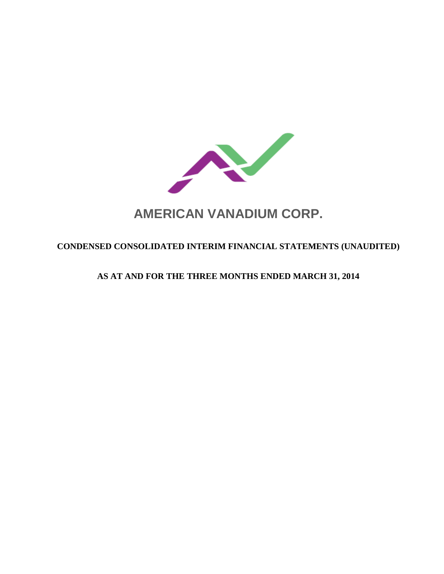

# **AMERICAN VANADIUM CORP.**

# **CONDENSED CONSOLIDATED INTERIM FINANCIAL STATEMENTS (UNAUDITED)**

# **AS AT AND FOR THE THREE MONTHS ENDED MARCH 31, 2014**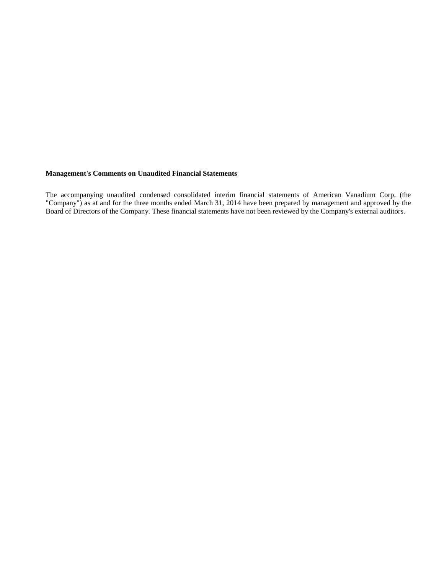#### **Management's Comments on Unaudited Financial Statements**

The accompanying unaudited condensed consolidated interim financial statements of American Vanadium Corp. (the "Company") as at and for the three months ended March 31, 2014 have been prepared by management and approved by the Board of Directors of the Company. These financial statements have not been reviewed by the Company's external auditors.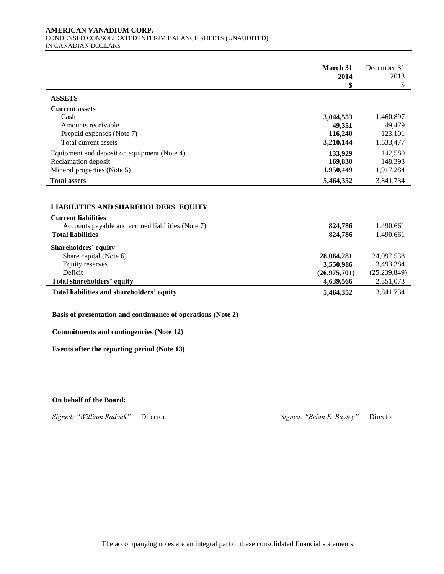#### **AMERICAN VANADIUM CORP.**  CONDENSED CONSOLIDATED INTERIM BALANCE SHEETS (UNAUDITED) IN CANADIAN DOLLARS

|                                             | March 31  | December 31 |
|---------------------------------------------|-----------|-------------|
|                                             | 2014      | 2013        |
|                                             |           |             |
| <b>ASSETS</b>                               |           |             |
| <b>Current assets</b>                       |           |             |
| Cash                                        | 3,044,553 | 1,460,897   |
| Amounts receivable                          | 49,351    | 49,479      |
| Prepaid expenses (Note 7)                   | 116,240   | 123,101     |
| Total current assets                        | 3,210,144 | 1,633,477   |
| Equipment and deposit on equipment (Note 4) | 133,929   | 142,580     |
| Reclamation deposit                         | 169,830   | 148,393     |
| Mineral properties (Note 5)                 | 1,950,449 | 1,917,284   |
| <b>Total assets</b>                         | 5,464,352 | 3,841,734   |

# **LIABILITIES AND SHAREHOLDERS' EQUITY LIABILITIES AND SHAREHOLDERS' EQUITY**

| <b>Current liabilities</b>                        |              |                |
|---------------------------------------------------|--------------|----------------|
| Accounts payable and accrued liabilities (Note 7) | 824,786      | 1,490,661      |
| <b>Total liabilities</b>                          | 824,786      | 1,490,661      |
| <b>Shareholders' equity</b>                       |              |                |
| Share capital (Note 6)                            | 28,064,281   | 24,097,538     |
| Equity reserves                                   | 3,550,986    | 3,493,384      |
| Deficit                                           | (26,975,701) | (25, 239, 849) |
| Total shareholders' equity                        | 4,639,566    | 2,351,073      |
| Total liabilities and shareholders' equity        | 5,464,352    | 3,841,734      |

**Basis of presentation and continuance of operations (Note 2)**

**Commitments and contingencies (Note 12)**

**Events after the reporting period (Note 13)**

**On behalf of the Board:**

*Signed: "William Radvak"* Director *Signed: "Brian E. Bayley"* Director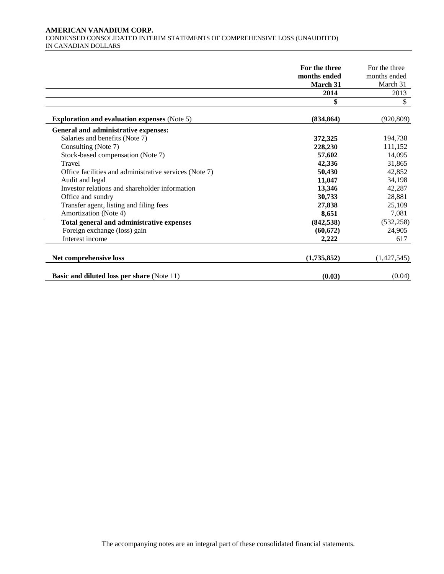#### **AMERICAN VANADIUM CORP.**  CONDENSED CONSOLIDATED INTERIM STATEMENTS OF COMPREHENSIVE LOSS (UNAUDITED) IN CANADIAN DOLLARS

|                                                        | For the three | For the three |
|--------------------------------------------------------|---------------|---------------|
|                                                        | months ended  | months ended  |
|                                                        | March 31      | March 31      |
|                                                        | 2014          | 2013          |
|                                                        | \$            | \$            |
| <b>Exploration and evaluation expenses</b> (Note 5)    | (834, 864)    | (920, 809)    |
| General and administrative expenses:                   |               |               |
| Salaries and benefits (Note 7)                         | 372,325       | 194,738       |
| Consulting (Note 7)                                    | 228,230       | 111,152       |
| Stock-based compensation (Note 7)                      | 57,602        | 14,095        |
| Travel                                                 | 42,336        | 31,865        |
| Office facilities and administrative services (Note 7) | 50,430        | 42,852        |
| Audit and legal                                        | 11,047        | 34,198        |
| Investor relations and shareholder information         | 13,346        | 42,287        |
| Office and sundry                                      | 30,733        | 28,881        |
| Transfer agent, listing and filing fees                | 27,838        | 25,109        |
| Amortization (Note 4)                                  | 8,651         | 7,081         |
| Total general and administrative expenses              | (842, 538)    | (532, 258)    |
| Foreign exchange (loss) gain                           | (60, 672)     | 24,905        |
| Interest income                                        | 2,222         | 617           |
| Net comprehensive loss                                 | (1,735,852)   | (1,427,545)   |
| <b>Basic and diluted loss per share (Note 11)</b>      | (0.03)        | (0.04)        |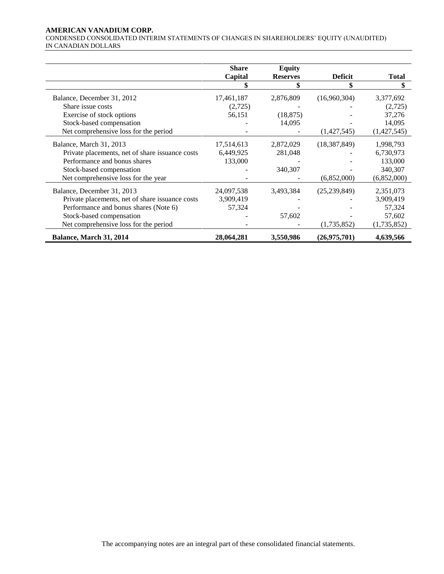# **AMERICAN VANADIUM CORP.**

CONDENSED CONSOLIDATED INTERIM STATEMENTS OF CHANGES IN SHAREHOLDERS' EQUITY (UNAUDITED) IN CANADIAN DOLLARS

|                                                 | <b>Share</b> | <b>Equity</b>   |                |              |
|-------------------------------------------------|--------------|-----------------|----------------|--------------|
|                                                 | Capital      | <b>Reserves</b> | <b>Deficit</b> | <b>Total</b> |
|                                                 |              |                 | \$             | \$           |
| Balance, December 31, 2012                      | 17,461,187   | 2,876,809       | (16,960,304)   | 3,377,692    |
| Share issue costs                               | (2,725)      |                 |                | (2,725)      |
| Exercise of stock options                       | 56,151       | (18, 875)       |                | 37,276       |
| Stock-based compensation                        |              | 14,095          |                | 14,095       |
| Net comprehensive loss for the period           |              |                 | (1,427,545)    | (1,427,545)  |
| Balance, March 31, 2013                         | 17,514,613   | 2,872,029       | (18, 387, 849) | 1,998,793    |
| Private placements, net of share issuance costs | 6,449,925    | 281,048         |                | 6,730,973    |
| Performance and bonus shares                    | 133,000      |                 |                | 133,000      |
| Stock-based compensation                        |              | 340,307         |                | 340,307      |
| Net comprehensive loss for the year             |              |                 | (6,852,000)    | (6,852,000)  |
| Balance, December 31, 2013                      | 24,097,538   | 3,493,384       | (25, 239, 849) | 2,351,073    |
| Private placements, net of share issuance costs | 3,909,419    |                 |                | 3,909,419    |
| Performance and bonus shares (Note 6)           | 57,324       |                 |                | 57,324       |
| Stock-based compensation                        |              | 57,602          |                | 57,602       |
| Net comprehensive loss for the period           |              |                 | (1,735,852)    | (1,735,852)  |
| Balance, March 31, 2014                         | 28,064,281   | 3,550,986       | (26,975,701)   | 4,639,566    |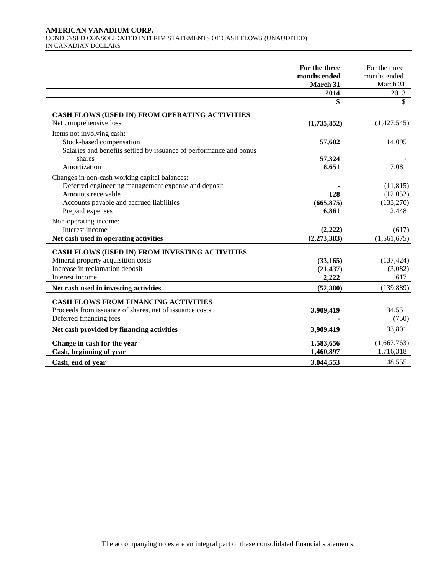#### **AMERICAN VANADIUM CORP.**  CONDENSED CONSOLIDATED INTERIM STATEMENTS OF CASH FLOWS (UNAUDITED) IN CANADIAN DOLLARS

|                                                                                                                                                                                            | For the three<br>months ended<br>March 31 | For the three<br>months ended<br>March 31    |
|--------------------------------------------------------------------------------------------------------------------------------------------------------------------------------------------|-------------------------------------------|----------------------------------------------|
|                                                                                                                                                                                            | 2014                                      | 2013                                         |
|                                                                                                                                                                                            |                                           | \$                                           |
| <b>CASH FLOWS (USED IN) FROM OPERATING ACTIVITIES</b><br>Net comprehensive loss                                                                                                            | (1,735,852)                               | (1,427,545)                                  |
| Items not involving cash:<br>Stock-based compensation<br>Salaries and benefits settled by issuance of performance and bonus                                                                | 57,602                                    | 14,095                                       |
| shares<br>Amortization                                                                                                                                                                     | 57,324<br>8,651                           | 7,081                                        |
| Changes in non-cash working capital balances:<br>Deferred engineering management expense and deposit<br>Amounts receivable<br>Accounts payable and accrued liabilities<br>Prepaid expenses | 128<br>(665, 875)<br>6,861                | (11, 815)<br>(12,052)<br>(133, 270)<br>2,448 |
| Non-operating income:<br>Interest income                                                                                                                                                   | (2,222)                                   | (617)                                        |
| Net cash used in operating activities                                                                                                                                                      | (2, 273, 383)                             | (1,561,675)                                  |
| CASH FLOWS (USED IN) FROM INVESTING ACTIVITIES<br>Mineral property acquisition costs<br>Increase in reclamation deposit<br>Interest income                                                 | (33, 165)<br>(21, 437)<br>2,222           | (137, 424)<br>(3,082)<br>617                 |
| Net cash used in investing activities                                                                                                                                                      | (52, 380)                                 | (139, 889)                                   |
| <b>CASH FLOWS FROM FINANCING ACTIVITIES</b><br>Proceeds from issuance of shares, net of issuance costs<br>Deferred financing fees                                                          | 3,909,419                                 | 34,551<br>(750)                              |
| Net cash provided by financing activities                                                                                                                                                  | 3,909,419                                 | 33,801                                       |
| Change in cash for the year<br>Cash, beginning of year                                                                                                                                     | 1,583,656<br>1,460,897                    | (1,667,763)<br>1,716,318                     |
| Cash, end of year                                                                                                                                                                          | 3,044,553                                 | 48,555                                       |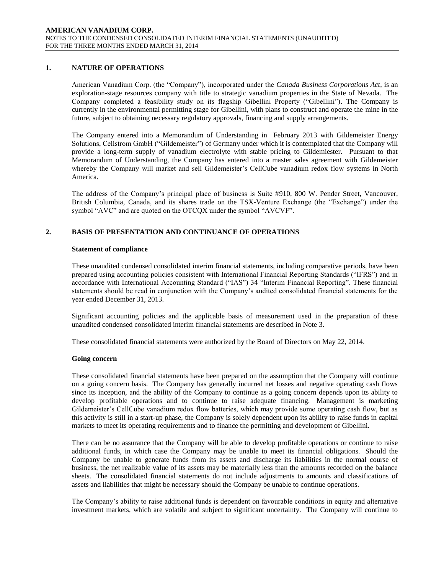# **1. NATURE OF OPERATIONS**

American Vanadium Corp. (the "Company"), incorporated under the *Canada Business Corporations Act*, is an exploration-stage resources company with title to strategic vanadium properties in the State of Nevada. The Company completed a feasibility study on its flagship Gibellini Property ("Gibellini"). The Company is currently in the environmental permitting stage for Gibellini, with plans to construct and operate the mine in the future, subject to obtaining necessary regulatory approvals, financing and supply arrangements.

The Company entered into a Memorandum of Understanding in February 2013 with Gildemeister Energy Solutions, Cellstrom GmbH ("Gildemeister") of Germany under which it is contemplated that the Company will provide a long-term supply of vanadium electrolyte with stable pricing to Gildemiester. Pursuant to that Memorandum of Understanding, the Company has entered into a master sales agreement with Gildemeister whereby the Company will market and sell Gildemeister's CellCube vanadium redox flow systems in North America.

The address of the Company's principal place of business is Suite #910, 800 W. Pender Street, Vancouver, British Columbia, Canada, and its shares trade on the TSX-Venture Exchange (the "Exchange") under the symbol "AVC" and are quoted on the OTCQX under the symbol "AVCVF".

#### **2. BASIS OF PRESENTATION AND CONTINUANCE OF OPERATIONS**

#### **Statement of compliance**

These unaudited condensed consolidated interim financial statements, including comparative periods, have been prepared using accounting policies consistent with International Financial Reporting Standards ("IFRS") and in accordance with International Accounting Standard ("IAS") 34 "Interim Financial Reporting". These financial statements should be read in conjunction with the Company's audited consolidated financial statements for the year ended December 31, 2013.

Significant accounting policies and the applicable basis of measurement used in the preparation of these unaudited condensed consolidated interim financial statements are described in Note 3.

These consolidated financial statements were authorized by the Board of Directors on May 22, 2014.

#### **Going concern**

These consolidated financial statements have been prepared on the assumption that the Company will continue on a going concern basis. The Company has generally incurred net losses and negative operating cash flows since its inception, and the ability of the Company to continue as a going concern depends upon its ability to develop profitable operations and to continue to raise adequate financing. Management is marketing Gildemeister's CellCube vanadium redox flow batteries, which may provide some operating cash flow, but as this activity is still in a start-up phase, the Company is solely dependent upon its ability to raise funds in capital markets to meet its operating requirements and to finance the permitting and development of Gibellini.

There can be no assurance that the Company will be able to develop profitable operations or continue to raise additional funds, in which case the Company may be unable to meet its financial obligations. Should the Company be unable to generate funds from its assets and discharge its liabilities in the normal course of business, the net realizable value of its assets may be materially less than the amounts recorded on the balance sheets. The consolidated financial statements do not include adjustments to amounts and classifications of assets and liabilities that might be necessary should the Company be unable to continue operations.

The Company's ability to raise additional funds is dependent on favourable conditions in equity and alternative investment markets, which are volatile and subject to significant uncertainty. The Company will continue to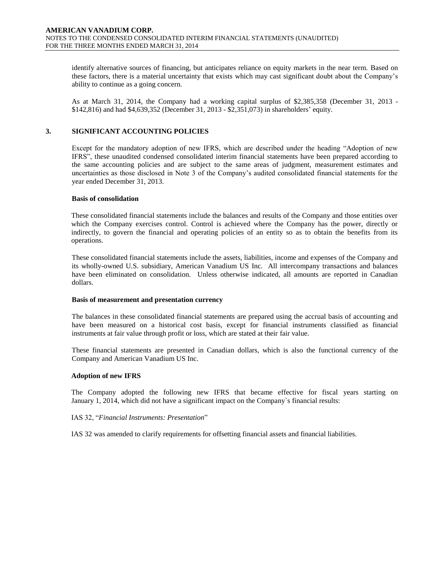identify alternative sources of financing, but anticipates reliance on equity markets in the near term. Based on these factors, there is a material uncertainty that exists which may cast significant doubt about the Company's ability to continue as a going concern.

As at March 31, 2014, the Company had a working capital surplus of \$2,385,358 (December 31, 2013 - \$142,816) and had \$4,639,352 (December 31, 2013 - \$2,351,073) in shareholders' equity.

# **3. SIGNIFICANT ACCOUNTING POLICIES**

Except for the mandatory adoption of new IFRS, which are described under the heading "Adoption of new IFRS", these unaudited condensed consolidated interim financial statements have been prepared according to the same accounting policies and are subject to the same areas of judgment, measurement estimates and uncertainties as those disclosed in Note 3 of the Company's audited consolidated financial statements for the year ended December 31, 2013.

#### **Basis of consolidation**

These consolidated financial statements include the balances and results of the Company and those entities over which the Company exercises control. Control is achieved where the Company has the power, directly or indirectly, to govern the financial and operating policies of an entity so as to obtain the benefits from its operations.

These consolidated financial statements include the assets, liabilities, income and expenses of the Company and its wholly-owned U.S. subsidiary, American Vanadium US Inc. All intercompany transactions and balances have been eliminated on consolidation. Unless otherwise indicated, all amounts are reported in Canadian dollars.

#### **Basis of measurement and presentation currency**

The balances in these consolidated financial statements are prepared using the accrual basis of accounting and have been measured on a historical cost basis, except for financial instruments classified as financial instruments at fair value through profit or loss, which are stated at their fair value.

These financial statements are presented in Canadian dollars, which is also the functional currency of the Company and American Vanadium US Inc.

#### **Adoption of new IFRS**

The Company adopted the following new IFRS that became effective for fiscal years starting on January 1, 2014, which did not have a significant impact on the Company`s financial results:

# IAS 32, "*Financial Instruments: Presentation*"

IAS 32 was amended to clarify requirements for offsetting financial assets and financial liabilities.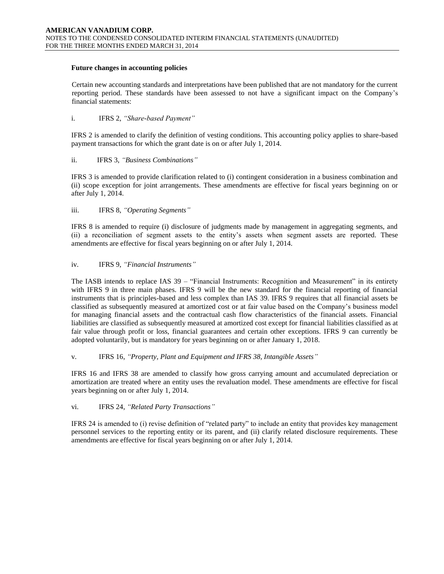#### **Future changes in accounting policies**

Certain new accounting standards and interpretations have been published that are not mandatory for the current reporting period. These standards have been assessed to not have a significant impact on the Company's financial statements:

i. IFRS 2, *"Share-based Payment"* 

IFRS 2 is amended to clarify the definition of vesting conditions. This accounting policy applies to share-based payment transactions for which the grant date is on or after July 1, 2014.

# ii. IFRS 3, *"Business Combinations"*

IFRS 3 is amended to provide clarification related to (i) contingent consideration in a business combination and (ii) scope exception for joint arrangements. These amendments are effective for fiscal years beginning on or after July 1, 2014.

# iii. IFRS 8, *"Operating Segments"*

IFRS 8 is amended to require (i) disclosure of judgments made by management in aggregating segments, and (ii) a reconciliation of segment assets to the entity's assets when segment assets are reported. These amendments are effective for fiscal years beginning on or after July 1, 2014.

#### iv. IFRS 9, *"Financial Instruments"*

The IASB intends to replace IAS 39 – "Financial Instruments: Recognition and Measurement" in its entirety with IFRS 9 in three main phases. IFRS 9 will be the new standard for the financial reporting of financial instruments that is principles-based and less complex than IAS 39. IFRS 9 requires that all financial assets be classified as subsequently measured at amortized cost or at fair value based on the Company's business model for managing financial assets and the contractual cash flow characteristics of the financial assets. Financial liabilities are classified as subsequently measured at amortized cost except for financial liabilities classified as at fair value through profit or loss, financial guarantees and certain other exceptions. IFRS 9 can currently be adopted voluntarily, but is mandatory for years beginning on or after January 1, 2018.

v. IFRS 16, *"Property, Plant and Equipment and IFRS 38, Intangible Assets"*

IFRS 16 and IFRS 38 are amended to classify how gross carrying amount and accumulated depreciation or amortization are treated where an entity uses the revaluation model. These amendments are effective for fiscal years beginning on or after July 1, 2014.

# vi. IFRS 24, *"Related Party Transactions"*

IFRS 24 is amended to (i) revise definition of "related party" to include an entity that provides key management personnel services to the reporting entity or its parent, and (ii) clarify related disclosure requirements. These amendments are effective for fiscal years beginning on or after July 1, 2014.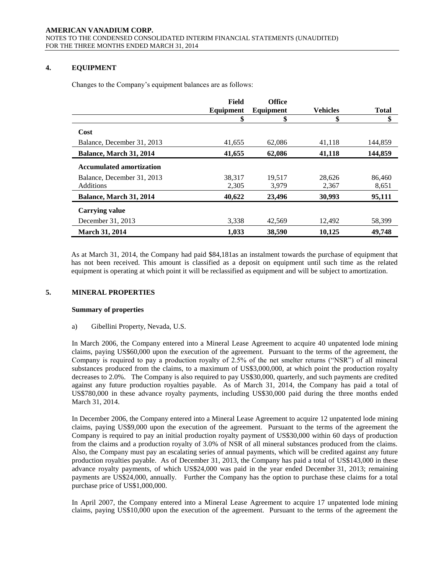# **4. EQUIPMENT**

Changes to the Company's equipment balances are as follows:

|                                 | Field     | <b>Office</b> |                 |              |
|---------------------------------|-----------|---------------|-----------------|--------------|
|                                 | Equipment | Equipment     | <b>Vehicles</b> | <b>Total</b> |
|                                 | \$        | \$            | \$              | \$           |
| Cost                            |           |               |                 |              |
| Balance, December 31, 2013      | 41,655    | 62,086        | 41,118          | 144.859      |
| Balance, March 31, 2014         | 41,655    | 62,086        | 41,118          | 144,859      |
| <b>Accumulated amortization</b> |           |               |                 |              |
| Balance, December 31, 2013      | 38.317    | 19.517        | 28.626          | 86,460       |
| <b>Additions</b>                | 2,305     | 3,979         | 2,367           | 8,651        |
| Balance, March 31, 2014         | 40,622    | 23,496        | 30,993          | 95,111       |
| <b>Carrying value</b>           |           |               |                 |              |
| December 31, 2013               | 3,338     | 42.569        | 12,492          | 58,399       |
| <b>March 31, 2014</b>           | 1,033     | 38,590        | 10,125          | 49,748       |

As at March 31, 2014, the Company had paid \$84,181as an instalment towards the purchase of equipment that has not been received. This amount is classified as a deposit on equipment until such time as the related equipment is operating at which point it will be reclassified as equipment and will be subject to amortization.

# **5. MINERAL PROPERTIES**

#### **Summary of properties**

a) Gibellini Property, Nevada, U.S.

In March 2006, the Company entered into a Mineral Lease Agreement to acquire 40 unpatented lode mining claims, paying US\$60,000 upon the execution of the agreement. Pursuant to the terms of the agreement, the Company is required to pay a production royalty of 2.5% of the net smelter returns ("NSR") of all mineral substances produced from the claims, to a maximum of US\$3,000,000, at which point the production royalty decreases to 2.0%. The Company is also required to pay US\$30,000, quarterly, and such payments are credited against any future production royalties payable. As of March 31, 2014, the Company has paid a total of US\$780,000 in these advance royalty payments, including US\$30,000 paid during the three months ended March 31, 2014.

In December 2006, the Company entered into a Mineral Lease Agreement to acquire 12 unpatented lode mining claims, paying US\$9,000 upon the execution of the agreement. Pursuant to the terms of the agreement the Company is required to pay an initial production royalty payment of US\$30,000 within 60 days of production from the claims and a production royalty of 3.0% of NSR of all mineral substances produced from the claims. Also, the Company must pay an escalating series of annual payments, which will be credited against any future production royalties payable. As of December 31, 2013, the Company has paid a total of US\$143,000 in these advance royalty payments, of which US\$24,000 was paid in the year ended December 31, 2013; remaining payments are US\$24,000, annually. Further the Company has the option to purchase these claims for a total purchase price of US\$1,000,000.

In April 2007, the Company entered into a Mineral Lease Agreement to acquire 17 unpatented lode mining claims, paying US\$10,000 upon the execution of the agreement. Pursuant to the terms of the agreement the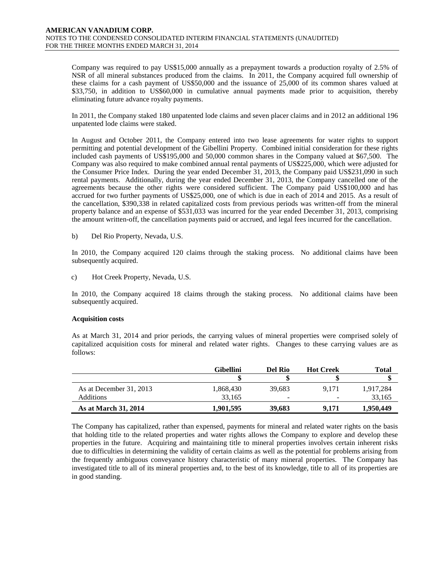Company was required to pay US\$15,000 annually as a prepayment towards a production royalty of 2.5% of NSR of all mineral substances produced from the claims. In 2011, the Company acquired full ownership of these claims for a cash payment of US\$50,000 and the issuance of 25,000 of its common shares valued at \$33,750, in addition to US\$60,000 in cumulative annual payments made prior to acquisition, thereby eliminating future advance royalty payments.

In 2011, the Company staked 180 unpatented lode claims and seven placer claims and in 2012 an additional 196 unpatented lode claims were staked.

In August and October 2011, the Company entered into two lease agreements for water rights to support permitting and potential development of the Gibellini Property. Combined initial consideration for these rights included cash payments of US\$195,000 and 50,000 common shares in the Company valued at \$67,500. The Company was also required to make combined annual rental payments of US\$225,000, which were adjusted for the Consumer Price Index. During the year ended December 31, 2013, the Company paid US\$231,090 in such rental payments. Additionally, during the year ended December 31, 2013, the Company cancelled one of the agreements because the other rights were considered sufficient. The Company paid US\$100,000 and has accrued for two further payments of US\$25,000, one of which is due in each of 2014 and 2015. As a result of the cancellation, \$390,338 in related capitalized costs from previous periods was written-off from the mineral property balance and an expense of \$531,033 was incurred for the year ended December 31, 2013, comprising the amount written-off, the cancellation payments paid or accrued, and legal fees incurred for the cancellation.

b) Del Rio Property, Nevada, U.S.

In 2010, the Company acquired 120 claims through the staking process. No additional claims have been subsequently acquired.

c) Hot Creek Property, Nevada, U.S.

In 2010, the Company acquired 18 claims through the staking process. No additional claims have been subsequently acquired.

#### **Acquisition costs**

As at March 31, 2014 and prior periods, the carrying values of mineral properties were comprised solely of capitalized acquisition costs for mineral and related water rights. Changes to these carrying values are as follows:

|                             | <b>Gibellini</b> | Del Rio                  | <b>Hot Creek</b> | Total     |
|-----------------------------|------------------|--------------------------|------------------|-----------|
|                             |                  |                          |                  |           |
| As at December 31, 2013     | 1,868,430        | 39.683                   | 9.171            | 1,917,284 |
| Additions                   | 33.165           | $\overline{\phantom{a}}$ | -                | 33,165    |
| <b>As at March 31, 2014</b> | 1.901.595        | 39,683                   | 9.171            | 1,950,449 |

The Company has capitalized, rather than expensed, payments for mineral and related water rights on the basis that holding title to the related properties and water rights allows the Company to explore and develop these properties in the future. Acquiring and maintaining title to mineral properties involves certain inherent risks due to difficulties in determining the validity of certain claims as well as the potential for problems arising from the frequently ambiguous conveyance history characteristic of many mineral properties. The Company has investigated title to all of its mineral properties and, to the best of its knowledge, title to all of its properties are in good standing.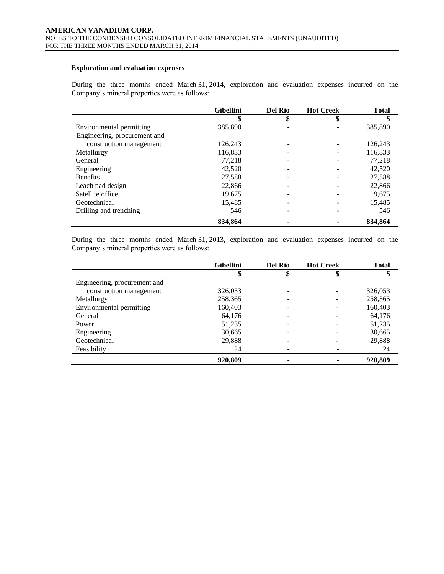# **Exploration and evaluation expenses**

During the three months ended March 31, 2014, exploration and evaluation expenses incurred on the Company's mineral properties were as follows:

|                              | <b>Gibellini</b> | <b>Del Rio</b> | <b>Hot Creek</b> | <b>Total</b> |
|------------------------------|------------------|----------------|------------------|--------------|
|                              | \$               | D              |                  | \$           |
| Environmental permitting     | 385,890          |                |                  | 385,890      |
| Engineering, procurement and |                  |                |                  |              |
| construction management      | 126,243          |                |                  | 126,243      |
| Metallurgy                   | 116,833          |                |                  | 116,833      |
| General                      | 77.218           |                |                  | 77.218       |
| Engineering                  | 42,520           |                |                  | 42,520       |
| <b>Benefits</b>              | 27,588           |                |                  | 27,588       |
| Leach pad design             | 22,866           |                |                  | 22,866       |
| Satellite office             | 19,675           |                |                  | 19,675       |
| Geotechnical                 | 15,485           |                |                  | 15,485       |
| Drilling and trenching       | 546              |                |                  | 546          |
|                              | 834.864          |                |                  | 834.864      |

During the three months ended March 31, 2013, exploration and evaluation expenses incurred on the Company's mineral properties were as follows:

|                              | <b>Gibellini</b> | <b>Del Rio</b> | <b>Hot Creek</b> | <b>Total</b> |
|------------------------------|------------------|----------------|------------------|--------------|
|                              |                  |                |                  |              |
| Engineering, procurement and |                  |                |                  |              |
| construction management      | 326,053          |                |                  | 326,053      |
| Metallurgy                   | 258,365          |                |                  | 258,365      |
| Environmental permitting     | 160,403          |                |                  | 160,403      |
| General                      | 64,176           |                |                  | 64,176       |
| Power                        | 51,235           |                |                  | 51,235       |
| Engineering                  | 30,665           |                |                  | 30,665       |
| Geotechnical                 | 29,888           |                |                  | 29,888       |
| Feasibility                  | 24               |                |                  | 24           |
|                              | 920,809          | ۰              |                  | 920,809      |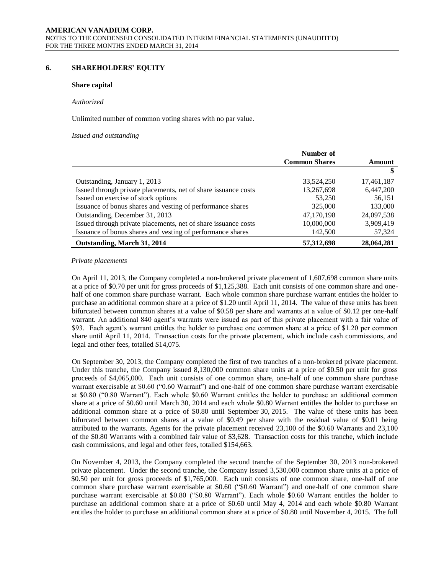#### **6. SHAREHOLDERS' EQUITY**

#### **Share capital**

#### *Authorized*

Unlimited number of common voting shares with no par value.

#### *Issued and outstanding*

|                                                                | Number of            |            |
|----------------------------------------------------------------|----------------------|------------|
|                                                                | <b>Common Shares</b> | Amount     |
|                                                                |                      |            |
| Outstanding, January 1, 2013                                   | 33.524.250           | 17,461,187 |
| Issued through private placements, net of share issuance costs | 13,267,698           | 6,447,200  |
| Issued on exercise of stock options                            | 53,250               | 56,151     |
| Issuance of bonus shares and vesting of performance shares     | 325,000              | 133,000    |
| Outstanding, December 31, 2013                                 | 47.170.198           | 24,097,538 |
| Issued through private placements, net of share issuance costs | 10,000,000           | 3,909,419  |
| Issuance of bonus shares and vesting of performance shares     | 142,500              | 57,324     |
| Outstanding, March 31, 2014                                    | 57, 312, 698         | 28,064,281 |

#### *Private placements*

On April 11, 2013, the Company completed a non-brokered private placement of 1,607,698 common share units at a price of \$0.70 per unit for gross proceeds of \$1,125,388. Each unit consists of one common share and onehalf of one common share purchase warrant. Each whole common share purchase warrant entitles the holder to purchase an additional common share at a price of \$1.20 until April 11, 2014. The value of these units has been bifurcated between common shares at a value of \$0.58 per share and warrants at a value of \$0.12 per one-half warrant. An additional 840 agent's warrants were issued as part of this private placement with a fair value of \$93. Each agent's warrant entitles the holder to purchase one common share at a price of \$1.20 per common share until April 11, 2014. Transaction costs for the private placement, which include cash commissions, and legal and other fees, totalled \$14,075.

On September 30, 2013, the Company completed the first of two tranches of a non-brokered private placement. Under this tranche, the Company issued 8,130,000 common share units at a price of \$0.50 per unit for gross proceeds of \$4,065,000. Each unit consists of one common share, one-half of one common share purchase warrant exercisable at \$0.60 ("0.60 Warrant") and one-half of one common share purchase warrant exercisable at \$0.80 ("0.80 Warrant"). Each whole \$0.60 Warrant entitles the holder to purchase an additional common share at a price of \$0.60 until March 30, 2014 and each whole \$0.80 Warrant entitles the holder to purchase an additional common share at a price of \$0.80 until September 30, 2015. The value of these units has been bifurcated between common shares at a value of \$0.49 per share with the residual value of \$0.01 being attributed to the warrants. Agents for the private placement received 23,100 of the \$0.60 Warrants and 23,100 of the \$0.80 Warrants with a combined fair value of \$3,628. Transaction costs for this tranche, which include cash commissions, and legal and other fees, totalled \$154,663.

On November 4, 2013, the Company completed the second tranche of the September 30, 2013 non-brokered private placement. Under the second tranche, the Company issued 3,530,000 common share units at a price of \$0.50 per unit for gross proceeds of \$1,765,000. Each unit consists of one common share, one-half of one common share purchase warrant exercisable at \$0.60 ("\$0.60 Warrant") and one-half of one common share purchase warrant exercisable at \$0.80 ("\$0.80 Warrant"). Each whole \$0.60 Warrant entitles the holder to purchase an additional common share at a price of \$0.60 until May 4, 2014 and each whole \$0.80 Warrant entitles the holder to purchase an additional common share at a price of \$0.80 until November 4, 2015. The full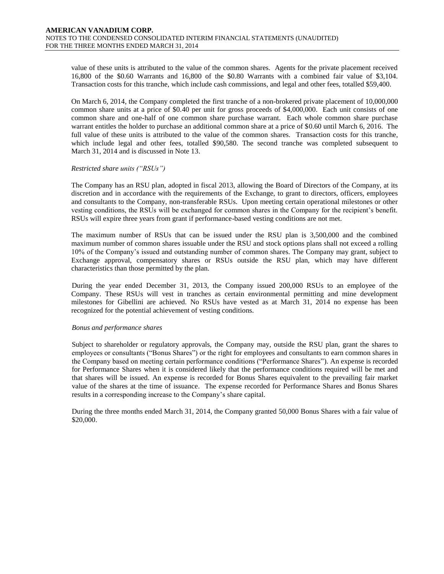value of these units is attributed to the value of the common shares. Agents for the private placement received 16,800 of the \$0.60 Warrants and 16,800 of the \$0.80 Warrants with a combined fair value of \$3,104. Transaction costs for this tranche, which include cash commissions, and legal and other fees, totalled \$59,400.

On March 6, 2014, the Company completed the first tranche of a non-brokered private placement of 10,000,000 common share units at a price of \$0.40 per unit for gross proceeds of \$4,000,000. Each unit consists of one common share and one-half of one common share purchase warrant. Each whole common share purchase warrant entitles the holder to purchase an additional common share at a price of \$0.60 until March 6, 2016. The full value of these units is attributed to the value of the common shares. Transaction costs for this tranche, which include legal and other fees, totalled \$90,580. The second tranche was completed subsequent to March 31, 2014 and is discussed in Note 13.

#### *Restricted share units ("RSUs")*

The Company has an RSU plan, adopted in fiscal 2013, allowing the Board of Directors of the Company, at its discretion and in accordance with the requirements of the Exchange, to grant to directors, officers, employees and consultants to the Company, non-transferable RSUs. Upon meeting certain operational milestones or other vesting conditions, the RSUs will be exchanged for common shares in the Company for the recipient's benefit. RSUs will expire three years from grant if performance-based vesting conditions are not met.

The maximum number of RSUs that can be issued under the RSU plan is 3,500,000 and the combined maximum number of common shares issuable under the RSU and stock options plans shall not exceed a rolling 10% of the Company's issued and outstanding number of common shares. The Company may grant, subject to Exchange approval, compensatory shares or RSUs outside the RSU plan, which may have different characteristics than those permitted by the plan.

During the year ended December 31, 2013, the Company issued 200,000 RSUs to an employee of the Company. These RSUs will vest in tranches as certain environmental permitting and mine development milestones for Gibellini are achieved. No RSUs have vested as at March 31, 2014 no expense has been recognized for the potential achievement of vesting conditions.

#### *Bonus and performance shares*

Subject to shareholder or regulatory approvals, the Company may, outside the RSU plan, grant the shares to employees or consultants ("Bonus Shares") or the right for employees and consultants to earn common shares in the Company based on meeting certain performance conditions ("Performance Shares"). An expense is recorded for Performance Shares when it is considered likely that the performance conditions required will be met and that shares will be issued. An expense is recorded for Bonus Shares equivalent to the prevailing fair market value of the shares at the time of issuance. The expense recorded for Performance Shares and Bonus Shares results in a corresponding increase to the Company's share capital.

During the three months ended March 31, 2014, the Company granted 50,000 Bonus Shares with a fair value of \$20,000.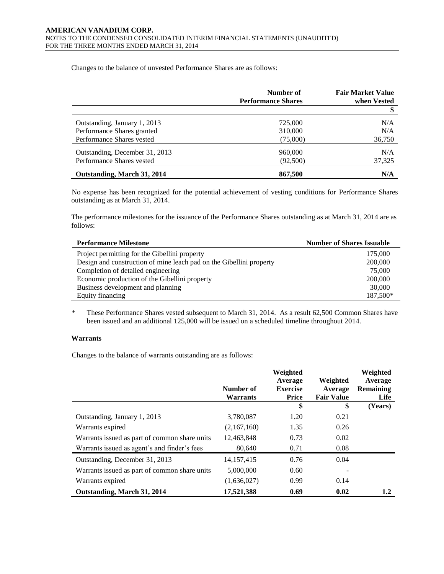Changes to the balance of unvested Performance Shares are as follows:

|                                | Number of<br><b>Performance Shares</b> | <b>Fair Market Value</b><br>when Vested |
|--------------------------------|----------------------------------------|-----------------------------------------|
|                                |                                        |                                         |
| Outstanding, January 1, 2013   | 725,000                                | N/A                                     |
| Performance Shares granted     | 310,000                                | N/A                                     |
| Performance Shares vested      | (75,000)                               | 36,750                                  |
| Outstanding, December 31, 2013 | 960,000                                | N/A                                     |
| Performance Shares vested      | (92,500)                               | 37,325                                  |
| Outstanding, March 31, 2014    | 867,500                                | N/A                                     |

No expense has been recognized for the potential achievement of vesting conditions for Performance Shares outstanding as at March 31, 2014.

The performance milestones for the issuance of the Performance Shares outstanding as at March 31, 2014 are as follows:

| <b>Performance Milestone</b>                                        | <b>Number of Shares Issuable</b> |
|---------------------------------------------------------------------|----------------------------------|
| Project permitting for the Gibellini property                       | 175,000                          |
| Design and construction of mine leach pad on the Gibellini property | 200,000                          |
| Completion of detailed engineering                                  | 75,000                           |
| Economic production of the Gibellini property                       | 200,000                          |
| Business development and planning                                   | 30,000                           |
| Equity financing                                                    | 187,500*                         |

\* These Performance Shares vested subsequent to March 31, 2014. As a result 62,500 Common Shares have been issued and an additional 125,000 will be issued on a scheduled timeline throughout 2014.

# **Warrants**

Changes to the balance of warrants outstanding are as follows:

|                                               | Number of<br><b>Warrants</b> | Weighted<br>Average<br><b>Exercise</b><br><b>Price</b> | Weighted<br>Average<br><b>Fair Value</b> | Weighted<br>Average<br><b>Remaining</b><br>Life |
|-----------------------------------------------|------------------------------|--------------------------------------------------------|------------------------------------------|-------------------------------------------------|
|                                               |                              | \$                                                     | \$                                       | (Years)                                         |
| Outstanding, January 1, 2013                  | 3,780,087                    | 1.20                                                   | 0.21                                     |                                                 |
| Warrants expired                              | (2,167,160)                  | 1.35                                                   | 0.26                                     |                                                 |
| Warrants issued as part of common share units | 12,463,848                   | 0.73                                                   | 0.02                                     |                                                 |
| Warrants issued as agent's and finder's fees  | 80,640                       | 0.71                                                   | 0.08                                     |                                                 |
| Outstanding, December 31, 2013                | 14, 157, 415                 | 0.76                                                   | 0.04                                     |                                                 |
| Warrants issued as part of common share units | 5,000,000                    | 0.60                                                   |                                          |                                                 |
| Warrants expired                              | (1,636,027)                  | 0.99                                                   | 0.14                                     |                                                 |
| Outstanding, March 31, 2014                   | 17,521,388                   | 0.69                                                   | 0.02                                     | 1.2                                             |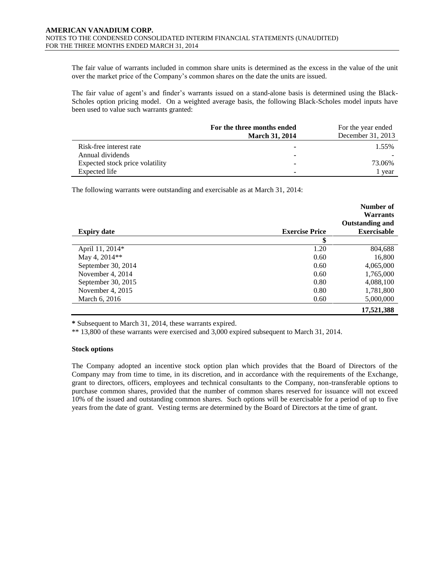The fair value of warrants included in common share units is determined as the excess in the value of the unit over the market price of the Company's common shares on the date the units are issued.

The fair value of agent's and finder's warrants issued on a stand-alone basis is determined using the Black-Scholes option pricing model. On a weighted average basis, the following Black-Scholes model inputs have been used to value such warrants granted:

|                                 | For the three months ended | For the year ended |
|---------------------------------|----------------------------|--------------------|
|                                 | <b>March 31, 2014</b>      | December 31, 2013  |
| Risk-free interest rate         |                            | 1.55%              |
| Annual dividends                | -                          |                    |
| Expected stock price volatility |                            | 73.06%             |
| Expected life                   | -                          | 1 year             |

The following warrants were outstanding and exercisable as at March 31, 2014:

|                    |                       | Number of<br><b>Warrants</b> |
|--------------------|-----------------------|------------------------------|
|                    |                       | <b>Outstanding and</b>       |
| <b>Expiry date</b> | <b>Exercise Price</b> | <b>Exercisable</b>           |
|                    | \$                    |                              |
| April 11, 2014*    | 1.20                  | 804,688                      |
| May 4, 2014**      | 0.60                  | 16,800                       |
| September 30, 2014 | 0.60                  | 4,065,000                    |
| November 4, 2014   | 0.60                  | 1,765,000                    |
| September 30, 2015 | 0.80                  | 4,088,100                    |
| November 4, 2015   | 0.80                  | 1,781,800                    |
| March 6, 2016      | 0.60                  | 5,000,000                    |
|                    |                       | 17,521,388                   |

**\*** Subsequent to March 31, 2014, these warrants expired.

\*\* 13,800 of these warrants were exercised and 3,000 expired subsequent to March 31, 2014.

#### **Stock options**

The Company adopted an incentive stock option plan which provides that the Board of Directors of the Company may from time to time, in its discretion, and in accordance with the requirements of the Exchange, grant to directors, officers, employees and technical consultants to the Company, non-transferable options to purchase common shares, provided that the number of common shares reserved for issuance will not exceed 10% of the issued and outstanding common shares. Such options will be exercisable for a period of up to five years from the date of grant. Vesting terms are determined by the Board of Directors at the time of grant.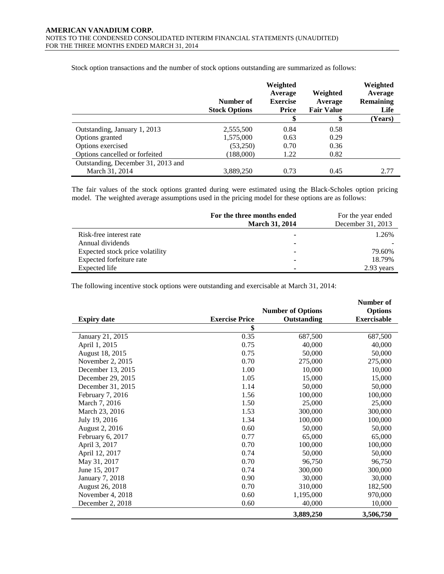|                                    | Number of<br><b>Stock Options</b> | Weighted<br>Average<br><b>Exercise</b><br>Price | Weighted<br>Average<br><b>Fair Value</b> | Weighted<br>Average<br><b>Remaining</b><br>Life |
|------------------------------------|-----------------------------------|-------------------------------------------------|------------------------------------------|-------------------------------------------------|
|                                    |                                   | \$                                              | æ                                        | (Years)                                         |
| Outstanding, January 1, 2013       | 2,555,500                         | 0.84                                            | 0.58                                     |                                                 |
| Options granted                    | 1,575,000                         | 0.63                                            | 0.29                                     |                                                 |
| Options exercised                  | (53,250)                          | 0.70                                            | 0.36                                     |                                                 |
| Options cancelled or forfeited     | (188,000)                         | 1.22                                            | 0.82                                     |                                                 |
| Outstanding, December 31, 2013 and |                                   |                                                 |                                          |                                                 |
| March 31, 2014                     | 3,889,250                         | 0.73                                            | 0.45                                     | 2.77                                            |

Stock option transactions and the number of stock options outstanding are summarized as follows:

The fair values of the stock options granted during were estimated using the Black-Scholes option pricing model. The weighted average assumptions used in the pricing model for these options are as follows:

|                                 | For the three months ended<br><b>March 31, 2014</b> | For the year ended<br>December 31, 2013 |
|---------------------------------|-----------------------------------------------------|-----------------------------------------|
| Risk-free interest rate         |                                                     | 1.26%                                   |
| Annual dividends                |                                                     |                                         |
| Expected stock price volatility | ۰                                                   | 79.60%                                  |
| Expected forfeiture rate        | ۰                                                   | 18.79%                                  |
| Expected life                   | ۰                                                   | 2.93 years                              |

The following incentive stock options were outstanding and exercisable at March 31, 2014:

|                    |                       | <b>Number of Options</b> | Number of<br><b>Options</b> |
|--------------------|-----------------------|--------------------------|-----------------------------|
| <b>Expiry date</b> | <b>Exercise Price</b> | Outstanding              | <b>Exercisable</b>          |
|                    | \$                    |                          |                             |
| January 21, 2015   | 0.35                  | 687,500                  | 687,500                     |
| April 1, 2015      | 0.75                  | 40,000                   | 40,000                      |
| August 18, 2015    | 0.75                  | 50,000                   | 50,000                      |
| November 2, 2015   | 0.70                  | 275,000                  | 275,000                     |
| December 13, 2015  | 1.00                  | 10,000                   | 10,000                      |
| December 29, 2015  | 1.05                  | 15,000                   | 15,000                      |
| December 31, 2015  | 1.14                  | 50,000                   | 50,000                      |
| February 7, 2016   | 1.56                  | 100,000                  | 100,000                     |
| March 7, 2016      | 1.50                  | 25,000                   | 25,000                      |
| March 23, 2016     | 1.53                  | 300,000                  | 300,000                     |
| July 19, 2016      | 1.34                  | 100,000                  | 100,000                     |
| August 2, 2016     | 0.60                  | 50,000                   | 50,000                      |
| February 6, 2017   | 0.77                  | 65,000                   | 65,000                      |
| April 3, 2017      | 0.70                  | 100,000                  | 100,000                     |
| April 12, 2017     | 0.74                  | 50,000                   | 50,000                      |
| May 31, 2017       | 0.70                  | 96,750                   | 96,750                      |
| June 15, 2017      | 0.74                  | 300,000                  | 300,000                     |
| January 7, 2018    | 0.90                  | 30,000                   | 30,000                      |
| August 26, 2018    | 0.70                  | 310,000                  | 182,500                     |
| November 4, 2018   | 0.60                  | 1,195,000                | 970,000                     |
| December 2, 2018   | 0.60                  | 40,000                   | 10,000                      |
|                    |                       | 3,889,250                | 3,506,750                   |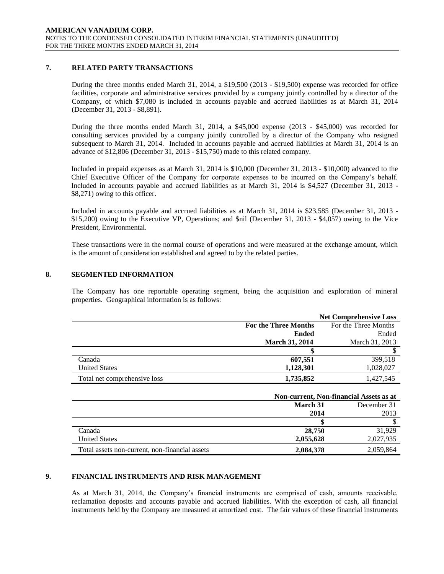# **7. RELATED PARTY TRANSACTIONS**

During the three months ended March 31, 2014, a \$19,500 (2013 - \$19,500) expense was recorded for office facilities, corporate and administrative services provided by a company jointly controlled by a director of the Company, of which \$7,080 is included in accounts payable and accrued liabilities as at March 31, 2014 (December 31, 2013 - \$8,891).

During the three months ended March 31, 2014, a \$45,000 expense (2013 - \$45,000) was recorded for consulting services provided by a company jointly controlled by a director of the Company who resigned subsequent to March 31, 2014. Included in accounts payable and accrued liabilities at March 31, 2014 is an advance of \$12,806 (December 31, 2013 - \$15,750) made to this related company.

Included in prepaid expenses as at March 31, 2014 is \$10,000 (December 31, 2013 - \$10,000) advanced to the Chief Executive Officer of the Company for corporate expenses to be incurred on the Company's behalf. Included in accounts payable and accrued liabilities as at March 31, 2014 is \$4,527 (December 31, 2013 - \$8,271) owing to this officer.

Included in accounts payable and accrued liabilities as at March 31, 2014 is \$23,585 (December 31, 2013 - \$15,200) owing to the Executive VP, Operations; and \$nil (December 31, 2013 - \$4,057) owing to the Vice President, Environmental.

These transactions were in the normal course of operations and were measured at the exchange amount, which is the amount of consideration established and agreed to by the related parties.

#### **8. SEGMENTED INFORMATION**

The Company has one reportable operating segment, being the acquisition and exploration of mineral properties. Geographical information is as follows:

|                              |                             | <b>Net Comprehensive Loss</b> |
|------------------------------|-----------------------------|-------------------------------|
|                              | <b>For the Three Months</b> | For the Three Months          |
|                              | <b>Ended</b>                | Ended                         |
|                              | <b>March 31, 2014</b>       | March 31, 2013                |
|                              |                             |                               |
| Canada                       | 607,551                     | 399,518                       |
| <b>United States</b>         | 1,128,301                   | 1,028,027                     |
| Total net comprehensive loss | 1,735,852                   | 1,427,545                     |

|                                                | Non-current, Non-financial Assets as at |           |  |
|------------------------------------------------|-----------------------------------------|-----------|--|
|                                                | March 31<br>December 31                 |           |  |
|                                                | 2014                                    | 2013      |  |
|                                                |                                         |           |  |
| Canada                                         | 28,750                                  | 31.929    |  |
| <b>United States</b>                           | 2,055,628                               | 2,027,935 |  |
| Total assets non-current, non-financial assets | 2,084,378                               | 2,059,864 |  |

# **9. FINANCIAL INSTRUMENTS AND RISK MANAGEMENT**

As at March 31, 2014, the Company's financial instruments are comprised of cash, amounts receivable, reclamation deposits and accounts payable and accrued liabilities. With the exception of cash, all financial instruments held by the Company are measured at amortized cost. The fair values of these financial instruments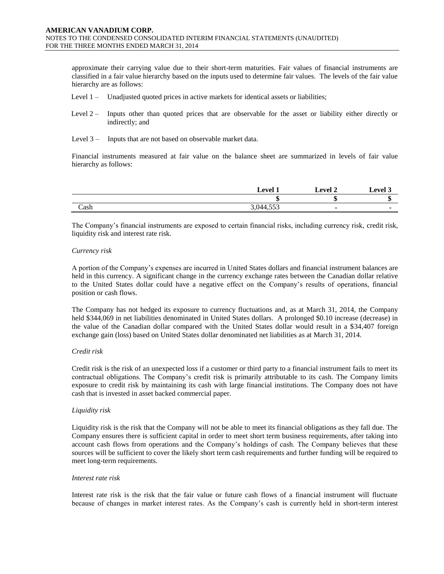approximate their carrying value due to their short-term maturities. Fair values of financial instruments are classified in a fair value hierarchy based on the inputs used to determine fair values. The levels of the fair value hierarchy are as follows:

- Level 1 Unadjusted quoted prices in active markets for identical assets or liabilities;
- Level 2 Inputs other than quoted prices that are observable for the asset or liability either directly or indirectly; and
- Level 3 Inputs that are not based on observable market data.

Financial instruments measured at fair value on the balance sheet are summarized in levels of fair value hierarchy as follows:

|      | Level              | $\lceil$ evel 2 | Level 3 |
|------|--------------------|-----------------|---------|
|      |                    | m<br>٠D         | ш       |
| Cash | $-77$<br>3,044,553 |                 |         |

The Company's financial instruments are exposed to certain financial risks, including currency risk, credit risk, liquidity risk and interest rate risk.

#### *Currency risk*

A portion of the Company's expenses are incurred in United States dollars and financial instrument balances are held in this currency. A significant change in the currency exchange rates between the Canadian dollar relative to the United States dollar could have a negative effect on the Company's results of operations, financial position or cash flows.

The Company has not hedged its exposure to currency fluctuations and, as at March 31, 2014, the Company held \$344,069 in net liabilities denominated in United States dollars. A prolonged \$0.10 increase (decrease) in the value of the Canadian dollar compared with the United States dollar would result in a \$34,407 foreign exchange gain (loss) based on United States dollar denominated net liabilities as at March 31, 2014.

# *Credit risk*

Credit risk is the risk of an unexpected loss if a customer or third party to a financial instrument fails to meet its contractual obligations. The Company's credit risk is primarily attributable to its cash. The Company limits exposure to credit risk by maintaining its cash with large financial institutions. The Company does not have cash that is invested in asset backed commercial paper.

# *Liquidity risk*

Liquidity risk is the risk that the Company will not be able to meet its financial obligations as they fall due. The Company ensures there is sufficient capital in order to meet short term business requirements, after taking into account cash flows from operations and the Company's holdings of cash. The Company believes that these sources will be sufficient to cover the likely short term cash requirements and further funding will be required to meet long-term requirements.

#### *Interest rate risk*

Interest rate risk is the risk that the fair value or future cash flows of a financial instrument will fluctuate because of changes in market interest rates. As the Company's cash is currently held in short-term interest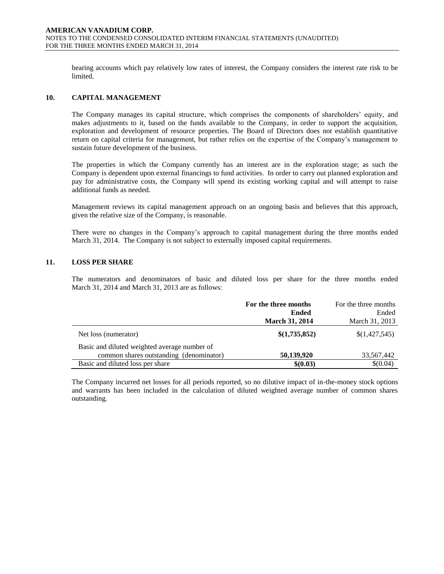bearing accounts which pay relatively low rates of interest, the Company considers the interest rate risk to be limited.

#### **10. CAPITAL MANAGEMENT**

The Company manages its capital structure, which comprises the components of shareholders' equity, and makes adjustments to it, based on the funds available to the Company, in order to support the acquisition, exploration and development of resource properties. The Board of Directors does not establish quantitative return on capital criteria for management, but rather relies on the expertise of the Company's management to sustain future development of the business.

The properties in which the Company currently has an interest are in the exploration stage; as such the Company is dependent upon external financings to fund activities. In order to carry out planned exploration and pay for administrative costs, the Company will spend its existing working capital and will attempt to raise additional funds as needed.

Management reviews its capital management approach on an ongoing basis and believes that this approach, given the relative size of the Company, is reasonable.

There were no changes in the Company's approach to capital management during the three months ended March 31, 2014. The Company is not subject to externally imposed capital requirements.

#### **11. LOSS PER SHARE**

The numerators and denominators of basic and diluted loss per share for the three months ended March 31, 2014 and March 31, 2013 are as follows:

|                                              | For the three months  | For the three months |
|----------------------------------------------|-----------------------|----------------------|
|                                              | <b>Ended</b>          | Ended                |
|                                              | <b>March 31, 2014</b> | March 31, 2013       |
| Net loss (numerator)                         | \$(1,735,852)         | \$(1,427,545)        |
| Basic and diluted weighted average number of |                       |                      |
| common shares outstanding (denominator)      | 50,139,920            | 33,567,442           |
| Basic and diluted loss per share             | \$(0.03)              | \$(0.04)             |

The Company incurred net losses for all periods reported, so no dilutive impact of in-the-money stock options and warrants has been included in the calculation of diluted weighted average number of common shares outstanding.